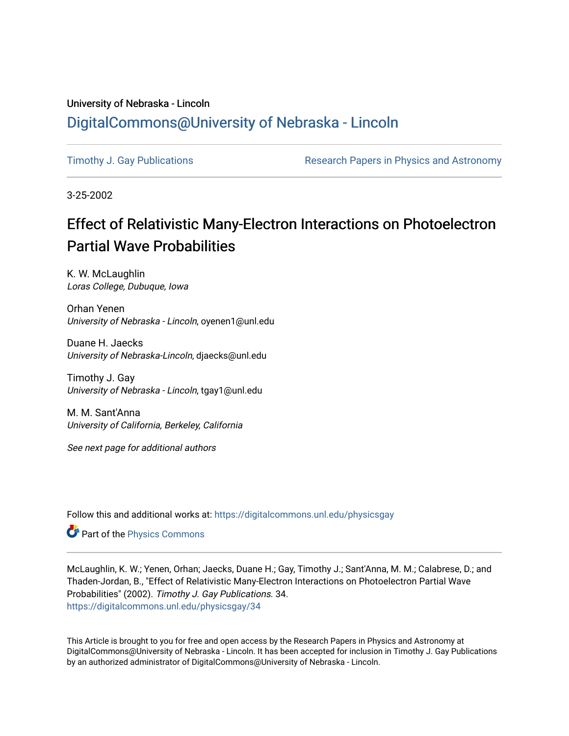## University of Nebraska - Lincoln [DigitalCommons@University of Nebraska - Lincoln](https://digitalcommons.unl.edu/)

[Timothy J. Gay Publications](https://digitalcommons.unl.edu/physicsgay) **Research Papers in Physics and Astronomy** 

3-25-2002

## Effect of Relativistic Many-Electron Interactions on Photoelectron **Partial Wave Probabilities**

K. W. McLaughlin Loras College, Dubuque, Iowa

Orhan Yenen University of Nebraska - Lincoln, oyenen1@unl.edu

Duane H. Jaecks University of Nebraska-Lincoln, djaecks@unl.edu

Timothy J. Gay University of Nebraska - Lincoln, tgay1@unl.edu

M. M. Sant'Anna University of California, Berkeley, California

See next page for additional authors

Follow this and additional works at: [https://digitalcommons.unl.edu/physicsgay](https://digitalcommons.unl.edu/physicsgay?utm_source=digitalcommons.unl.edu%2Fphysicsgay%2F34&utm_medium=PDF&utm_campaign=PDFCoverPages)

Part of the [Physics Commons](http://network.bepress.com/hgg/discipline/193?utm_source=digitalcommons.unl.edu%2Fphysicsgay%2F34&utm_medium=PDF&utm_campaign=PDFCoverPages)

McLaughlin, K. W.; Yenen, Orhan; Jaecks, Duane H.; Gay, Timothy J.; Sant'Anna, M. M.; Calabrese, D.; and Thaden-Jordan, B., "Effect of Relativistic Many-Electron Interactions on Photoelectron Partial Wave Probabilities" (2002). Timothy J. Gay Publications. 34. [https://digitalcommons.unl.edu/physicsgay/34](https://digitalcommons.unl.edu/physicsgay/34?utm_source=digitalcommons.unl.edu%2Fphysicsgay%2F34&utm_medium=PDF&utm_campaign=PDFCoverPages) 

This Article is brought to you for free and open access by the Research Papers in Physics and Astronomy at DigitalCommons@University of Nebraska - Lincoln. It has been accepted for inclusion in Timothy J. Gay Publications by an authorized administrator of DigitalCommons@University of Nebraska - Lincoln.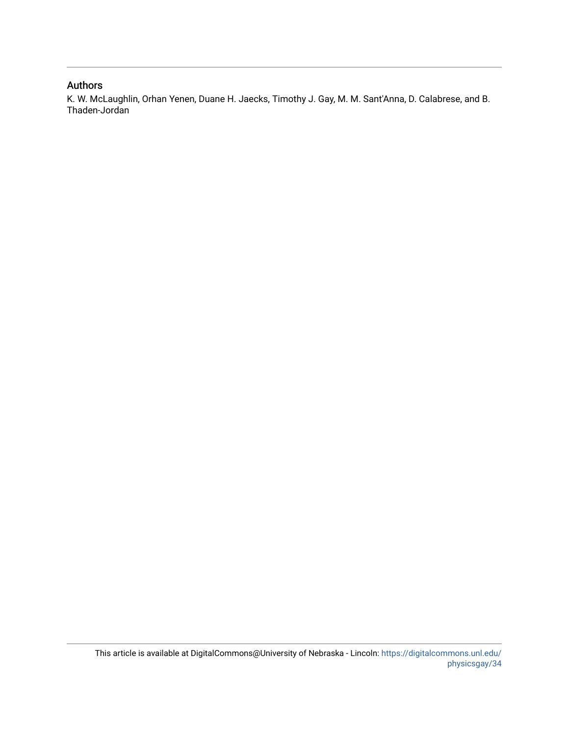## Authors

K. W. McLaughlin, Orhan Yenen, Duane H. Jaecks, Timothy J. Gay, M. M. Sant'Anna, D. Calabrese, and B. Thaden-Jordan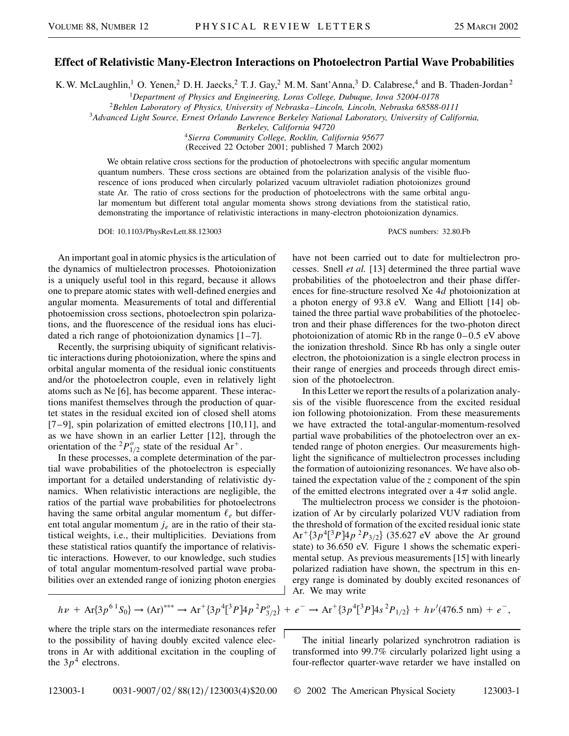## **Effect of Relativistic Many-Electron Interactions on Photoelectron Partial Wave Probabilities**

K. W. McLaughlin,<sup>1</sup> O. Yenen,<sup>2</sup> D. H. Jaecks,<sup>2</sup> T. J. Gay,<sup>2</sup> M. M. Sant'Anna,<sup>3</sup> D. Calabrese,<sup>4</sup> and B. Thaden-Jordan<sup>2</sup>

<sup>1</sup>*Department of Physics and Engineering, Loras College, Dubuque, Iowa 52004-0178*

<sup>2</sup>*Behlen Laboratory of Physics, University of Nebraska–Lincoln, Lincoln, Nebraska 68588-0111*

<sup>3</sup>*Advanced Light Source, Ernest Orlando Lawrence Berkeley National Laboratory, University of California,*

*Berkeley, California 94720*

<sup>4</sup>*Sierra Community College, Rocklin, California 95677* (Received 22 October 2001; published 7 March 2002)

We obtain relative cross sections for the production of photoelectrons with specific angular momentum quantum numbers. These cross sections are obtained from the polarization analysis of the visible fluorescence of ions produced when circularly polarized vacuum ultraviolet radiation photoionizes ground state Ar. The ratio of cross sections for the production of photoelectrons with the same orbital angular momentum but different total angular momenta shows strong deviations from the statistical ratio, demonstrating the importance of relativistic interactions in many-electron photoionization dynamics.

DOI: 10.1103/PhysRevLett.88.123003 PACS numbers: 32.80.Fb

An important goal in atomic physics is the articulation of the dynamics of multielectron processes. Photoionization is a uniquely useful tool in this regard, because it allows one to prepare atomic states with well-defined energies and angular momenta. Measurements of total and differential photoemission cross sections, photoelectron spin polarizations, and the fluorescence of the residual ions has elucidated a rich range of photoionization dynamics  $[1-7]$ .

Recently, the surprising ubiquity of significant relativistic interactions during photoionization, where the spins and orbital angular momenta of the residual ionic constituents and/or the photoelectron couple, even in relatively light atoms such as Ne [6], has become apparent. These interactions manifest themselves through the production of quartet states in the residual excited ion of closed shell atoms [7–9], spin polarization of emitted electrons [10,11], and as we have shown in an earlier Letter [12], through the orientation of the <sup>2</sup> $P_{1/2}^o$  state of the residual Ar<sup>+</sup>.

In these processes, a complete determination of the partial wave probabilities of the photoelectron is especially important for a detailed understanding of relativistic dynamics. When relativistic interactions are negligible, the ratios of the partial wave probabilities for photoelectrons having the same orbital angular momentum  $\ell_e$  but different total angular momentum *je* are in the ratio of their statistical weights, i.e., their multiplicities. Deviations from these statistical ratios quantify the importance of relativistic interactions. However, to our knowledge, such studies of total angular momentum-resolved partial wave probabilities over an extended range of ionizing photon energies have not been carried out to date for multielectron processes. Snell *et al.* [13] determined the three partial wave probabilities of the photoelectron and their phase differences for fine-structure resolved Xe 4*d* photoionization at a photon energy of 93.8 eV. Wang and Elliott [14] obtained the three partial wave probabilities of the photoelectron and their phase differences for the two-photon direct photoionization of atomic Rb in the range 0–0.5 eV above the ionization threshold. Since Rb has only a single outer electron, the photoionization is a single electron process in their range of energies and proceeds through direct emission of the photoelectron.

In this Letter we report the results of a polarization analysis of the visible fluorescence from the excited residual ion following photoionization. From these measurements we have extracted the total-angular-momentum-resolved partial wave probabilities of the photoelectron over an extended range of photon energies. Our measurements highlight the significance of multielectron processes including the formation of autoionizing resonances. We have also obtained the expectation value of the *z* component of the spin of the emitted electrons integrated over a  $4\pi$  solid angle.

The multielectron process we consider is the photoionization of Ar by circularly polarized VUV radiation from the threshold of formation of the excited residual ionic state  $Ar^{\dagger}$ {3*p*<sup>4</sup>[<sup>3</sup>*P*] $4p^2P_{3/2}$ } (35.627 eV above the Ar ground state) to 36.650 eV. Figure 1 shows the schematic experimental setup. As previous measurements [15] with linearly polarized radiation have shown, the spectrum in this energy range is dominated by doubly excited resonances of Ar. We may write

$$
h\nu + Ar\{3p^{6}{}^{1}S_{0}\} \rightarrow (Ar)^{***} \rightarrow Ar^{+}\{3p^{4}[^{3}P]4p^{2}P_{3/2}^{o}\} + e^{-} \rightarrow Ar^{+}\{3p^{4}[^{3}P]4s^{2}P_{1/2}\} + h\nu'(476.5 \text{ nm}) + e^{-},
$$

where the triple stars on the intermediate resonances refer to the possibility of having doubly excited valence electrons in Ar with additional excitation in the coupling of the  $3p<sup>4</sup>$  electrons.

The initial linearly polarized synchrotron radiation is transformed into 99.7% circularly polarized light using a four-reflector quarter-wave retarder we have installed on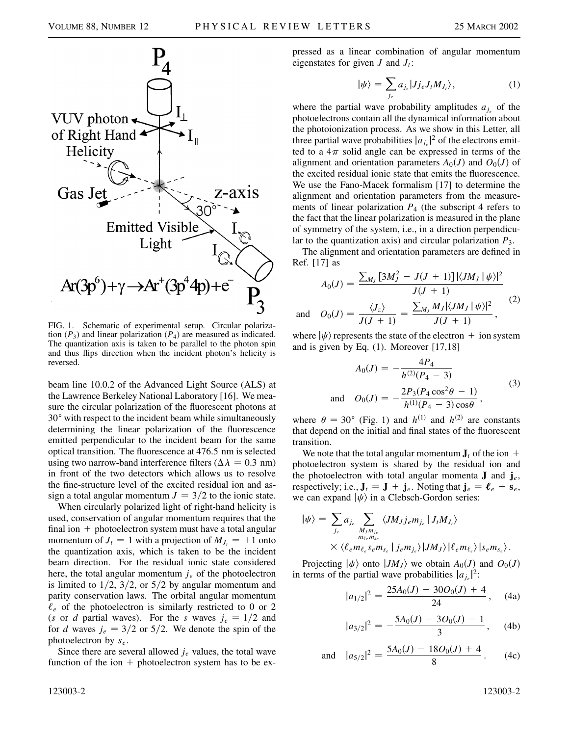

FIG. 1. Schematic of experimental setup. Circular polarization  $(P_3)$  and linear polarization  $(P_4)$  are measured as indicated. The quantization axis is taken to be parallel to the photon spin and thus flips direction when the incident photon's helicity is reversed.

beam line 10.0.2 of the Advanced Light Source (ALS) at the Lawrence Berkeley National Laboratory [16]. We measure the circular polarization of the fluorescent photons at 30° with respect to the incident beam while simultaneously determining the linear polarization of the fluorescence emitted perpendicular to the incident beam for the same optical transition. The fluorescence at 476.5 nm is selected using two narrow-band interference filters ( $\Delta \lambda = 0.3$  nm) in front of the two detectors which allows us to resolve the fine-structure level of the excited residual ion and assign a total angular momentum  $J = 3/2$  to the ionic state.

When circularly polarized light of right-hand helicity is used, conservation of angular momentum requires that the final ion  $+$  photoelectron system must have a total angular momentum of  $J_t = 1$  with a projection of  $M_{J_t} = +1$  onto the quantization axis, which is taken to be the incident beam direction. For the residual ionic state considered here, the total angular momentum *je* of the photoelectron is limited to  $1/2$ ,  $3/2$ , or  $5/2$  by angular momentum and parity conservation laws. The orbital angular momentum  $\ell_e$  of the photoelectron is similarly restricted to 0 or 2 (*s* or *d* partial waves). For the *s* waves  $j_e = 1/2$  and for *d* waves  $j_e = 3/2$  or  $5/2$ . We denote the spin of the photoelectron by *se*.

Since there are several allowed *je* values, the total wave function of the ion  $+$  photoelectron system has to be expressed as a linear combination of angular momentum eigenstates for given  $J$  and  $J_t$ :

$$
|\psi\rangle = \sum_{j_e} a_{j_e} |J j_e J_t M_{J_t}\rangle, \qquad (1)
$$

where the partial wave probability amplitudes  $a_{j_e}$  of the photoelectrons contain all the dynamical information about the photoionization process. As we show in this Letter, all three partial wave probabilities  $|a_{j_e}|^2$  of the electrons emitted to a  $4\pi$  solid angle can be expressed in terms of the alignment and orientation parameters  $A_0$  $(J)$  and  $O_0$  $(J)$  of the excited residual ionic state that emits the fluorescence. We use the Fano-Macek formalism [17] to determine the alignment and orientation parameters from the measurements of linear polarization *P*<sup>4</sup> (the subscript 4 refers to the fact that the linear polarization is measured in the plane of symmetry of the system, i.e., in a direction perpendicular to the quantization axis) and circular polarization *P*3.

The alignment and orientation parameters are defined in Ref. [17] as

$$
A_0(J) = \frac{\sum_{M_J} [3M_J^2 - J(J+1)] |\langle JM_J | \psi \rangle|^2}{J(J+1)}
$$
  
and 
$$
O_0(J) = \frac{\langle J_z \rangle}{J(J+1)} = \frac{\sum_{M_J} M_J |\langle JM_J | \psi \rangle|^2}{J(J+1)},
$$
 (2)

where  $|\psi\rangle$  represents the state of the electron + ion system and is given by Eq. (1). Moreover [17,18]

$$
A_0(J) = -\frac{4P_4}{h^{(2)}(P_4 - 3)}
$$
  
and 
$$
O_0(J) = -\frac{2P_3(P_4 \cos^2 \theta - 1)}{h^{(1)}(P_4 - 3)\cos \theta},
$$
 (3)

where  $\theta = 30^{\circ}$  (Fig. 1) and *h*<sup>(1)</sup> and *h*<sup>(2)</sup> are constants that depend on the initial and final states of the fluorescent transition.

We note that the total angular momentum  $J_t$  of the ion  $+$ photoelectron system is shared by the residual ion and the photoelectron with total angular momenta **J** and  $\mathbf{j}_e$ , respectively; i.e.,  $J_t = J + j_e$ . Noting that  $j_e = \ell_e + s_e$ , we can expand  $|\psi\rangle$  in a Clebsch-Gordon series:

$$
|\psi\rangle = \sum_{j_e} a_{j_e} \sum_{\substack{M_J m_{j_e} \\ m_{\ell_e} m_{s_e}}} \langle JM_J j_e m_{j_e} | J_I M_{J_I} \rangle
$$
  
 
$$
\times \langle \ell_e m_{\ell_e} s_e m_{s_e} | j_e m_{j_e} \rangle |JM_J \rangle |\ell_e m_{\ell_e} \rangle |s_e m_{s_e} \rangle.
$$

Projecting  $|\psi\rangle$  onto  $|JM_J\rangle$  we obtain  $A_0(J)$  and  $O_0(J)$ in terms of the partial wave probabilities  $|a_{j_e}|^2$ :

$$
|a_{1/2}|^2 = \frac{25A_0(J) + 30O_0(J) + 4}{24}, \quad (4a)
$$

$$
|a_{3/2}|^2 = -\frac{5A_0(J) - 3O_0(J) - 1}{3}, \quad (4b)
$$

and 
$$
|a_{5/2}|^2 = \frac{5A_0(J) - 18O_0(J) + 4}{8}
$$
. (4c)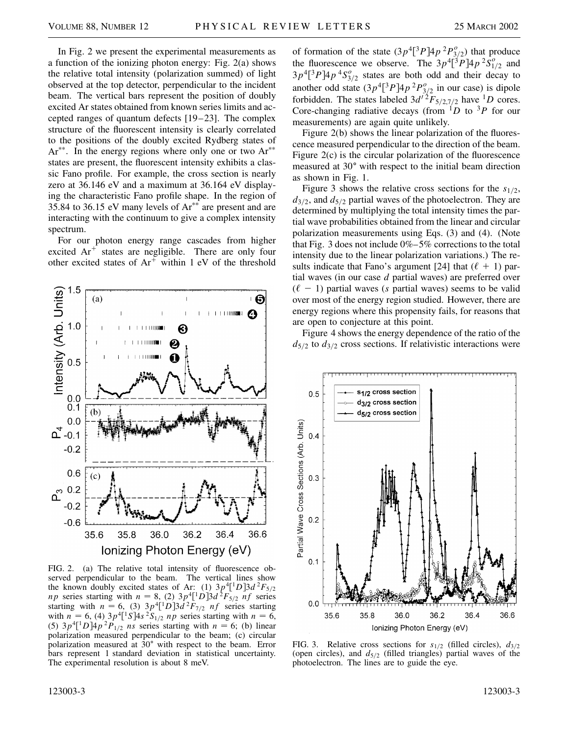In Fig. 2 we present the experimental measurements as a function of the ionizing photon energy: Fig. 2(a) shows the relative total intensity (polarization summed) of light observed at the top detector, perpendicular to the incident beam. The vertical bars represent the position of doubly excited Ar states obtained from known series limits and accepted ranges of quantum defects [19–23]. The complex structure of the fluorescent intensity is clearly correlated to the positions of the doubly excited Rydberg states of  $Ar^{**}$ . In the energy regions where only one or two  $Ar^{**}$ states are present, the fluorescent intensity exhibits a classic Fano profile. For example, the cross section is nearly zero at 36.146 eV and a maximum at 36.164 eV displaying the characteristic Fano profile shape. In the region of 35.84 to 36.15 eV many levels of  $Ar^{**}$  are present and are interacting with the continuum to give a complex intensity spectrum.

For our photon energy range cascades from higher excited  $Ar^+$  states are negligible. There are only four other excited states of  $Ar^+$  within 1 eV of the threshold



FIG. 2. (a) The relative total intensity of fluorescence observed perpendicular to the beam. The vertical lines show the known doubly excited states of Ar: (1)  $3p^4$ <sup>[1</sup>D] $3d^2F_{5/2}$ *np* series starting with  $n = 8$ , (2)  $3p^4$ <sup>1</sup> $D$ ] $3d^2F_{5/2}$  *nf* series starting with  $n = 6$ , (3)  $3p^4$ <sup>[1</sup>D] $3d^2F_{7/2}$  *nf* series starting with  $n = 6$ , (4)  $3p^4[^1S]4s^2S_{1/2}$  *np* series starting with  $n = 6$ , (5)  $3p^4$ <sup>[1</sup>D] $4p^2P_{1/2}$  *ns* series starting with  $n = 6$ ; (b) linear polarization measured perpendicular to the beam; (c) circular polarization measured at 30° with respect to the beam. Error bars represent 1 standard deviation in statistical uncertainty. The experimental resolution is about 8 meV.

of formation of the state  $(3p^4[^3P]4p^2P^0_{3/2})$  that produce the fluorescence we observe. The  $3p^4\overline{[^3}P]4p^2S^o_{1/2}$  and  $3p^4$ <sup>[3</sup> $P$ ] $4p^4$ S<sup>o</sup><sub>3/2</sub> states are both odd and their decay to another odd state  $(3p^4[^3P]4p^2P^o_{3/2}$  in our case) is dipole forbidden. The states labeled  $3d^{12}F_{5/2,7/2}$  have <sup>1</sup>D cores. Core-changing radiative decays (from  $1D$  to  $3P$  for our measurements) are again quite unlikely.

Figure 2(b) shows the linear polarization of the fluorescence measured perpendicular to the direction of the beam. Figure 2(c) is the circular polarization of the fluorescence measured at 30<sup>o</sup> with respect to the initial beam direction as shown in Fig. 1.

Figure 3 shows the relative cross sections for the  $s_{1/2}$ ,  $d_{3/2}$ , and  $d_{5/2}$  partial waves of the photoelectron. They are determined by multiplying the total intensity times the partial wave probabilities obtained from the linear and circular polarization measurements using Eqs. (3) and (4). (Note that Fig. 3 does not include 0%–5% corrections to the total intensity due to the linear polarization variations.) The results indicate that Fano's argument [24] that  $(\ell + 1)$  partial waves (in our case *d* partial waves) are preferred over  $(\ell - 1)$  partial waves (*s* partial waves) seems to be valid over most of the energy region studied. However, there are energy regions where this propensity fails, for reasons that are open to conjecture at this point.

Figure 4 shows the energy dependence of the ratio of the  $d_{5/2}$  to  $d_{3/2}$  cross sections. If relativistic interactions were



FIG. 3. Relative cross sections for  $s_{1/2}$  (filled circles),  $d_{3/2}$ (open circles), and  $d_{5/2}$  (filled triangles) partial waves of the photoelectron. The lines are to guide the eye.